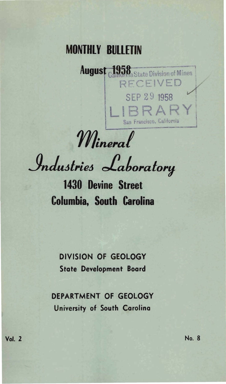# **MONTHLY BILLIFTIN**

August 1958 State Division of Mines RECEIVEI SEP 29 1958 LIBRAR San Francisco, California

Mineral<br>Industries Laboratory

1430 Devine Street Columbia, South Carolina

DIVISION OF GEOLOGY **State Development Board** 

DEPARTMENT OF GEOLOGY University of South Carolina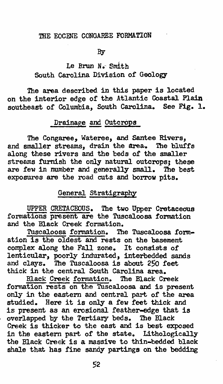### THE EOCENE CONGAREE FORMATION

By

# Le Brun N. Smith South Carolina Division of Geology

The area described in this paper is located on the interior edge of the Atlantic Coastal. Plain southeast of Columbia, South Carolina. See Fig. 1.

## Drainage and Outcrops

The Congaree, Wateree, and Santee Rivers, and smaller streams, drain the area. The bluffs along these rivers and the beds of the smaller streams furnish the only natural outcrops; these are few in number and generally small. The best exposures are the road cuts and borrow pits.

## General stratigraphy

UPPER CRETACEOUS. The two Upper Cretaceous formations present are the Tuscaloosa formation and the Black Creek formation.<br>Tuscaloosa formation. The Tuscaloosa form-

Tuscaloosa formation. ation is the oldest and rests on the basement complex along the Fall zone. It consists of lenticular, poorly indurated, interbedded sands and clays. The Tuscaloosa is about 250 feet thick in the central South Carolina area.<br>Black Creek formation. The Black Creek

Black Creek formation. formation rests on the Tuscaloosa and is present only in the eastern and central part of the area studied. Here it is only a few feet thick and is present as an erosional feather-edge that is overlapped by the Tertiary beds. The Black Creek is thicker to the east and is best exposed in the eastern part of the state. Lithologically the Black Creek is a massive to thin-bedded black shale that has fine sandy partings on the bedding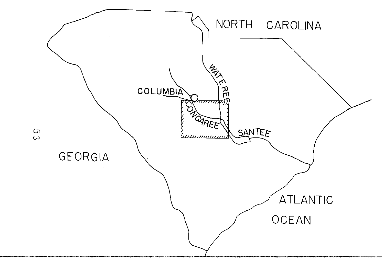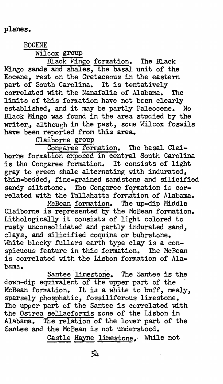planes.

#### EOCENE Wilcox group

Black Hingo formation. The Black Mingo sands and shales, the basal unit of the Eocene, rest on the Cretaceous in the eastern part of South Carclina. It is tentatively correlated with the Nanafalia of Alabama. The limits of this formation have not been clearly established, and it may be partly Paleocene. No Black Mingo was found in the area studied by the writer, although in the past, some Wilcox fossils have been reported from this area.

Claiborne group

Congaree formation. The basal Claiborne formation exposed in central South Carolina is the Congaree formation. It consists of light gray to green shale alternating with indurated, thin-bedded, fine-grained sandstone and silicified sandy siltstone. The Congaree formation is cor-<br>related with the Tallahatta formation of Alabama.

McBean formation. The up-dip Middle Claiborne is represented by the McBean formation. Lithologically it consists of light colored to rusty unconsolidated and partly indurated sand, clays, and silicified coquina or buhrstone. white blocky fullers earth type clay is a conspicuous feature in this formation. 1he HcBean is correlated with the Lisbon formation of Alabama.

Santee limestone. The Santee is the down-dip equivalent of the upper part of the McBean formation. It is a white to buff, mealy, sparsely phosphatic, fossiliferous limestone. The upper part of the Santee is correlated with the Ostrea sellaeformis zone of the Lisbon in Alabama. The relation of the lower part of the Santee and the HcBean is not understood.

Castle Hayne limestone. While not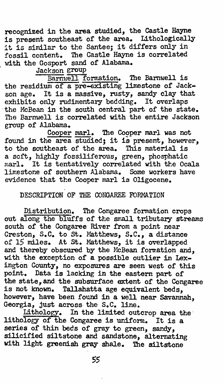recognized in the area studied, the Castle Hayne is present southeast of the area. Lithologically it is similar to the Santee; it differs only in fossil content. The Castle Hayne is correlated with the Gosport sand of Alabama.<br>Jackson group

Barnwell formation. The Barnwell is the residium of a pre-existing limestone of Jackson age. It is a massive, rusty, sandy clay that exhibits only rudimentary bedding. It overlaps the McBean in the south central part of the state. The Barnwell is correlated with the entire Jackson group of Alabama.

Cooper marl. The Cooper marl was not found in the area studied; it is present, however, to the southeast of the area. This material is a sort, highly fossiliferous, green, phosphatic marl. It is tentatively correlated with the Ocala limestone of southern Alabama. Some workers have evidence that the Cooper marl is Oligocene.

DESCRIPTION OF THE CONGAREE FORMATION

Distribution. The Congaree formation crops out along the bluffs of the small tributary streams south of the Congaree River from a point near Creston, S.C. to St. Matthews,  $S_cC_s$ , a distance of 15 miles. At St. Matthews, it is overlapped and thereby obscured by the HcBean formation and, with the exception of a possible outlier in Lexington County, no exposures are seen west of this point. Data is lacking in the eastern part of the state,and the subsurface extent of the Congaree is not known. Tallahatta age equivalent beds, however, have been found in a well near Savannah, Georgia, just across the s.c. line.

Lithology. In the limited outcrop area the lithology of the Congaree is uniform. It is a series of thin beds of gray to green, sandy, silicified siltstone and sandstone, alternating with light greenish gray shale. The siltstone

ss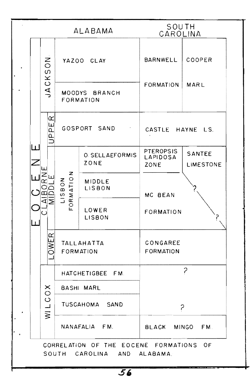| ALABAMA |                                                         |                           |                                       | SOUTH<br>CAROLINA             |                            |  |
|---------|---------------------------------------------------------|---------------------------|---------------------------------------|-------------------------------|----------------------------|--|
|         | $\frac{z}{0}$<br>$\omega$                               |                           | YAZOO CLAY                            | BARNWELL                      | COOPER                     |  |
|         | CK:<br>$\blacktriangleleft$<br>$\overline{\phantom{0}}$ |                           | MOODYS BRANCH<br>FORMATION            | <b>FORMATION</b>              | MARL                       |  |
| ய       | $\propto$<br>쎕<br>ቧ                                     |                           | GOSPORT SAND                          | CASTLE HAYNE LS.              |                            |  |
|         |                                                         | <b>ORMATION</b><br>NOBSIT | <b>O. SELLAEFORMIS</b><br>ZONE        | PTEROPSIS<br>LAPIDOSA<br>ZONE | <b>SANTEE</b><br>LIMESTONE |  |
|         |                                                         |                           | <b>MIDDLE</b><br><b>LISBON</b>        | MC BEAN                       |                            |  |
|         |                                                         | LL.                       | LOWER<br><b>LISBON</b>                | FORMATION                     |                            |  |
|         |                                                         |                           | <b>TALLAHATTA</b><br><b>FORMATION</b> | CONGAREE<br><b>FORMATION</b>  |                            |  |
|         |                                                         |                           | HATCHETIGBEE FM.                      | ς                             |                            |  |
|         | ×<br>$\circ$                                            |                           | BASHI MARL                            |                               |                            |  |
|         | $\circ$<br>$\Box$                                       |                           | SAND<br>TUSCAHOMA                     | ς                             |                            |  |
|         | ⋚                                                       |                           | NANAFALIA FM.                         | BLACK MINGO FM.               |                            |  |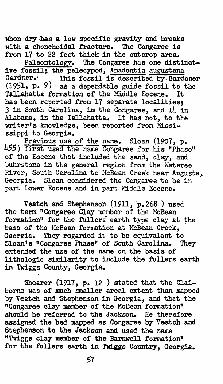when dry has a low specific gravity and breaks with a chonchoidal fracture. The Congaree is from 17 to 22 feet thick in the outcrop area.

Paleontology. The Congaree has one distinctive fossil; the pelecypod, Anadontia augustana Gardner. This fossil is described by Gardener (1951, p. 9) as a dependable guide fossil to the Tallahatta formation of the Middle Eocene. It has been reported from 17 separate localities; 3 in South Carolina, in the Congaree, and 14 in Alabama, in the Tallahatta. It has not, to the writer's lmowledge, been reported from Mississippi to Georgia.

Previous use of the name. Sloan (1907, p. 455) **first used the name Congaree for his "Phase"** of the Eocene that included the sand, clay, and buhrstone in the general region from the Wateree Piver, South Carolina to NcBean Creek near Augusta, Georgia. Sloan considered the Congaree to be in part Lower Eocene and in part Middle Eocene.

Veatch and stephenson (1911, 'p. 268 ) used the term "Congaree Clay member of the McBean formation" for the fullers earth type clay at the base of the McBean formation at McBean Creek, Georgia. They regarded it to be equivalent to<br>Sloan's "Congaree Phase" of South Carolina. They Sloan's "Congaree Phase" of South Carolina. extended the use of the name on the basis of lithologic similarity to include the fullers earth in Twiggs County, Georgia.

Shearer (1917, p. 12) stated that the Claiborne was of much smaller areal extent than mapped by Veatch and Stephenson in Georgia, and that the "Congaree clay member of the McBean formation" should be referred to the Jackson. He therefore assigned the bed mapped as Congaree by Veatch and Stephenson to the Jackson and used the name "Twiggs clay member of the Barnwell formation" for the fullers earth in Twiggs Country, Georgia.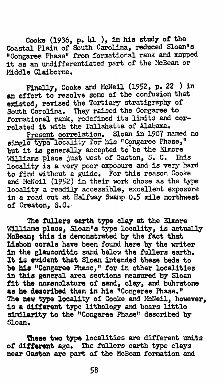Cooke  $(1936, p. 41)$ , in his study of the Coastal Plain of South Carolina, reduced Sloan's "Congaree Phase" from formational rank and mapped it as an undifferentiated part of the McBean or Hiddle Claiborne.

Finally', Cooke and HcNeil (1952, p. 22 ) in an effort to resolve some of the confusion that existed, revised the Tertiary stratigraphy of South Carolina. They raised the Congaree to formational rank, redefined its limits and correlated it with the Tallahatta of Alabama.

Present correlation. Sloan in 1907 named no single type locality for his "Congaree Phase," but it is generally accepted to be the Elmore Williams place just west of Gaston, S. C. This locality is a very poor exposure and is very hard to find without a guide. For this reason Cooke and McNeil (1952) in their work chose as the type locality a readily accessible, excellent exposure in a road cut at Halfway Swamp 0.5 mile northwest of Creston, S.C.

The fullers earth type clay at the Elmore Williams place, Sloan's type locality, is actually McBean; this is demonstrated by the fact that Lisbon corals have been found here by the writer in the glauconitic sand below the fullers earth. It is evident that Sloan intended these beds to be his "Congaree Phase," for in other localities in this seneral area sections measured by Sloan fit the nomenclature of sand, clay, and buhrstcne as he described them in his "Congaree Phase." The new type locality of Cooke and McNeil, however, is a different type lithology and bears little similarity to the "Congaree Phase" described by Sloan.

These two type localities are different units of different age. The fullers earth type clays near Gaston are part of the McBean formation and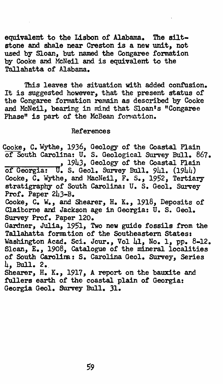equivalent to the Lisbon of Alabama. The siltstone and shale near Creston is a new unit, not used by Sloan, but named the Congaree formation by Cooke and McNeil and is equivalent to the Tallahatta or Alabama.

This leaves the situation with added confusion. It *is* suggested however, that the present status of the Congaree formation remain as described by Cooke and McNeil, bearing in mind that Sloan's "Congaree Phase" is part of the McBean formation.

#### **References**

Cooke, c. Wythe, 1936, Geology of the Coastal Plain of South Carolina: U. S. Geological Survey Bull. 867. , 1943, Geology of the Coastal Plain  $\overline{of}$  Georgia:  $\overline{0}$ . S. Geol. Survey Bull. 941. (1944) Cooke, C. Wythe, and MacNeil, F. S., 1952, Tertiary stratigraphy of South Carolina: U. S. Geol. Survey Prof. Paper 243-B. Cooke, c. w., and Shearer, H. K., 1918, Deposits of Claiborne and Jackson age in Georgia: U. S. Geol. Survey Prof. Paper 120. Gardner, Julia, 1951, Two new guide fossils from the Tallahatta formation of the Southeastern states: Washington Acad. Sci. Jour., Vol 41, No. 1, pp. 8-12. Sloan, E., 1908, Catalogue of the mineral localities of South Carolim: S. Carolina Geol. SUrvey, Series 4, Bull. 2. Shearer, H. K., 1917, A report on the bauxite and tullers earth or the coastal plain of Georgia: Georgia Geol. Survey Bull. 31.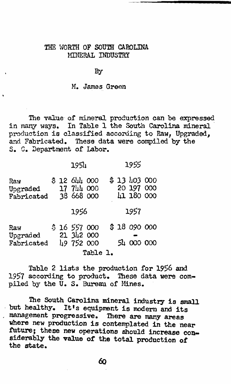#### THE WORTH OF SOUTH CAROLINA MINERAL INDUSTRY

#### By

#### M. James Green

The value of mineral production can be expressed in many ways. In Table 1 the South Carolina mineral production is classified according to Raw. Upgraded. and Fabricated. These data were compiled by the S. C. Department of Labor.

|                               |  | 195h                                   |          |  | 1955                                        |  |
|-------------------------------|--|----------------------------------------|----------|--|---------------------------------------------|--|
| Raw<br>Upgraded<br>Fabricated |  | \$12644000<br>17 744 000<br>38 668 000 |          |  | $$13\,103\,000$<br>20 197 000<br>41 180 000 |  |
|                               |  | 1956                                   |          |  | 1957                                        |  |
| Raw<br>Upgraded               |  | \$16557000<br>21 342 000               |          |  | \$1809000                                   |  |
| Fabricated                    |  | 49 752 000                             |          |  | 51,000,000                                  |  |
|                               |  |                                        | Table 1. |  |                                             |  |

Table 2 lists the production for 1956 and 1957 according to product. These data were compiled by the U. S. Bureau of Hines.

The South Carolina mineral industry is small but healthy. It's equipment is modern and its management progressive. There are many areas where new production is contemplated in the near future; these new operations should increase considerably the value of the total production of the state.

60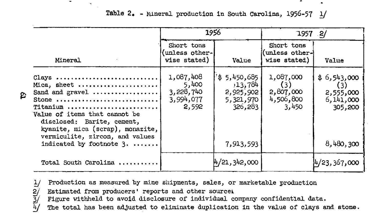|                                                                                                                                                                                                                                           | 1956                                                  |                                                                          | 1957.2/                                             |                                                                      |  |
|-------------------------------------------------------------------------------------------------------------------------------------------------------------------------------------------------------------------------------------------|-------------------------------------------------------|--------------------------------------------------------------------------|-----------------------------------------------------|----------------------------------------------------------------------|--|
| Mineral                                                                                                                                                                                                                                   | Short tons<br>(unless other-)<br>wise stated)         | Value                                                                    | Short tons<br>unless other-<br>wise stated)         | Value                                                                |  |
| Clays $\ldots$<br>Mica, sheet<br>Sand and gravel<br>Stone<br>Titanium<br>Value of items that cannot be<br>disclosed: Barite, cement,<br>kyanite, mica (scrap), monazite,<br>vermiculite, zircon, and values<br>indicated by footnote $3.$ | 1,087,408<br>5,400<br>3,228,740<br>3,994,077<br>2,592 | 1\$5,450,685<br>13,784<br>2,925,902<br>5,321,970<br>326,283<br>7,913,593 | 1,087,000<br>(3)<br>2,807,000<br>4,506,800<br>3,450 | \$6,543,000<br>(3)<br>2,555,000<br>6,141,000<br>305,200<br>8,480,300 |  |
| Total South Carolina                                                                                                                                                                                                                      |                                                       | 4/21,342,000                                                             |                                                     | 4/23, 367,000                                                        |  |

Table 2. - Mineral production in South Carolina, 1956-57 1/

 $\frac{1}{2}$ Production as measured by mine shipments, sales, or marketable production

 $\frac{2}{3}$ Estimated from producers' reports and other source.

Figure withheld to avoid disclosure of individual company confidential data.

The total has been adjusted to eliminate duplication in the value of clays and stone.

g